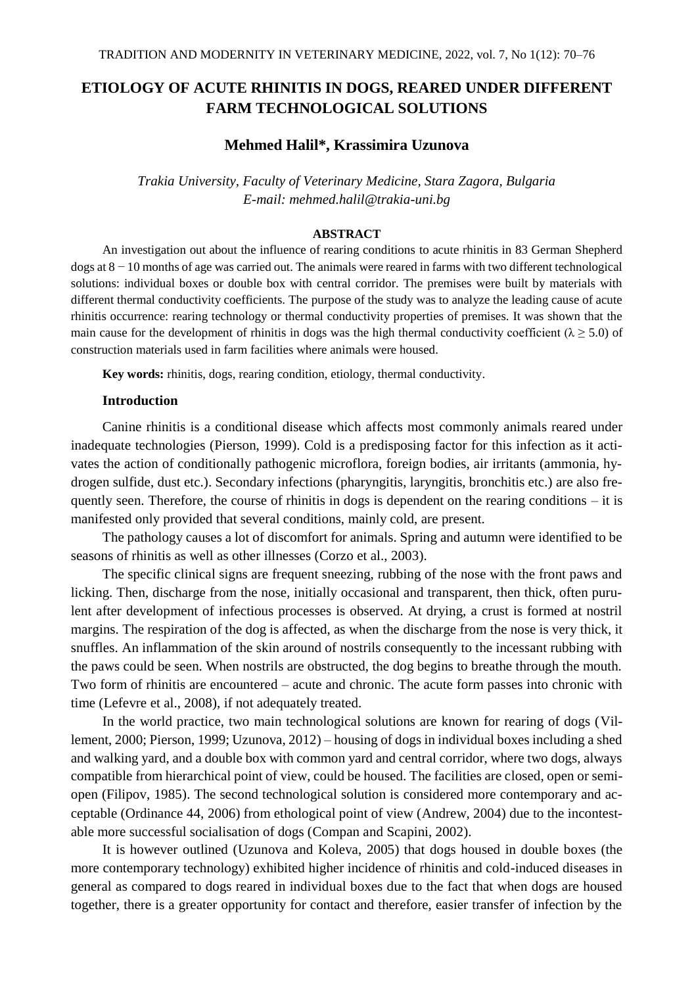# **ETIOLOGY OF ACUTE RHINITIS IN DOGS, REARED UNDER DIFFERENT FARM TECHNOLOGICAL SOLUTIONS**

# **Mehmed Halil\*, Krassimira Uzunova**

*Trakia University, Faculty of Veterinary Medicine, Stara Zagora, Bulgaria E-mail: mehmed.halil@trakia-uni.bg*

#### **ABSTRACT**

An investigation out about the influence of rearing conditions to acute rhinitis in 83 German Shepherd dogs at 8 − 10 months of age was carried out. The animals were reared in farms with two different technological solutions: individual boxes or double box with central corridor. The premises were built by materials with different thermal conductivity coefficients. The purpose of the study was to analyze the leading cause of acute rhinitis occurrence: rearing technology or thermal conductivity properties of premises. It was shown that the main cause for the development of rhinitis in dogs was the high thermal conductivity coefficient ( $\lambda \ge 5.0$ ) of construction materials used in farm facilities where animals were housed.

**Key words:** rhinitis, dogs, rearing condition, etiology, thermal conductivity.

## **Introduction**

Canine rhinitis is a conditional disease which affects most commonly animals reared under inadequate technologies (Pierson, 1999). Cold is a predisposing factor for this infection as it activates the action of conditionally pathogenic microflora, foreign bodies, air irritants (ammonia, hydrogen sulfide, dust etc.). Secondary infections (pharyngitis, laryngitis, bronchitis etc.) are also frequently seen. Therefore, the course of rhinitis in dogs is dependent on the rearing conditions – it is manifested only provided that several conditions, mainly cold, are present.

The pathology causes a lot of discomfort for animals. Spring and autumn were identified to be seasons of rhinitis as well as other illnesses (Corzo et al., 2003).

The specific clinical signs are frequent sneezing, rubbing of the nose with the front paws and licking. Then, discharge from the nose, initially occasional and transparent, then thick, often purulent after development of infectious processes is observed. At drying, a crust is formed at nostril margins. The respiration of the dog is affected, as when the discharge from the nose is very thick, it snuffles. An inflammation of the skin around of nostrils consequently to the incessant rubbing with the paws could be seen. When nostrils are obstructed, the dog begins to breathe through the mouth. Two form of rhinitis are encountered – acute and chronic. The acute form passes into chronic with time (Lefevre et al., 2008), if not adequately treated.

In the world practice, two main technological solutions are known for rearing of dogs (Villement, 2000; Pierson, 1999; Uzunova, 2012) – housing of dogs in individual boxes including a shed and walking yard, and a double box with common yard and central corridor, where two dogs, always compatible from hierarchical point of view, could be housed. The facilities are closed, open or semiopen (Filipov, 1985). The second technological solution is considered more contemporary and acceptable (Ordinance 44, 2006) from ethological point of view (Andrew, 2004) due to the incontestable more successful socialisation of dogs (Compan and Scapini, 2002).

It is however outlined (Uzunova and Koleva, 2005) that dogs housed in double boxes (the more contemporary technology) exhibited higher incidence of rhinitis and cold-induced diseases in general as compared to dogs reared in individual boxes due to the fact that when dogs are housed together, there is a greater opportunity for contact and therefore, easier transfer of infection by the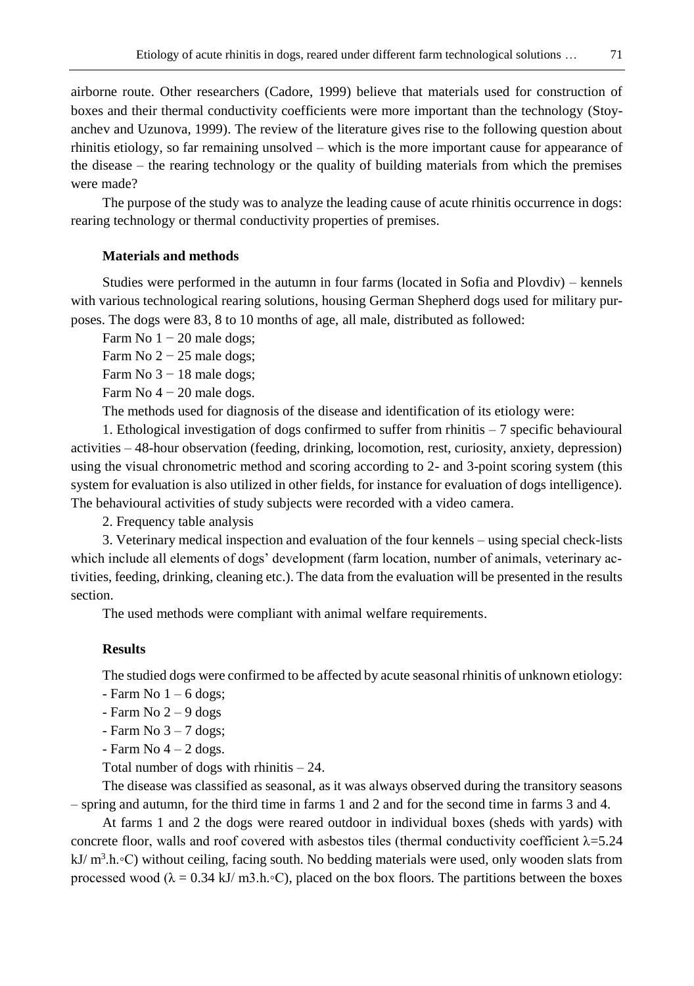airborne route. Other researchers (Cadore, 1999) believe that materials used for construction of boxes and their thermal conductivity coefficients were more important than the technology (Stoyanchev and Uzunova, 1999). The review of the literature gives rise to the following question about rhinitis etiology, so far remaining unsolved – which is the more important cause for appearance of the disease – the rearing technology or the quality of building materials from which the premises were made?

The purpose of the study was to analyze the leading cause of acute rhinitis occurrence in dogs: rearing technology or thermal conductivity properties of premises.

## **Materials and methods**

Studies were performed in the autumn in four farms (located in Sofia and Plovdiv) – kennels with various technological rearing solutions, housing German Shepherd dogs used for military purposes. The dogs were 83, 8 to 10 months of age, all male, distributed as followed:

Farm No  $1 - 20$  male dogs;

Farm No  $2 - 25$  male dogs;

Farm No  $3 - 18$  male dogs;

Farm No  $4 - 20$  male dogs.

The methods used for diagnosis of the disease and identification of its etiology were:

1. Ethological investigation of dogs confirmed to suffer from rhinitis – 7 specific behavioural activities – 48-hour observation (feeding, drinking, locomotion, rest, curiosity, anxiety, depression) using the visual chronometric method and scoring according to 2- and 3-point scoring system (this system for evaluation is also utilized in other fields, for instance for evaluation of dogs intelligence). The behavioural activities of study subjects were recorded with a video camera.

2. Frequency table analysis

3. Veterinary medical inspection and evaluation of the four kennels – using special check-lists which include all elements of dogs' development (farm location, number of animals, veterinary activities, feeding, drinking, cleaning etc.). The data from the evaluation will be presented in the results section.

The used methods were compliant with animal welfare requirements.

### **Results**

The studied dogs were confirmed to be affected by acute seasonal rhinitis of unknown etiology:

- $-$  Farm No  $1 6$  dogs;
- $-$  Farm No 2 9 dogs
- Farm No  $3 7$  dogs;
- Farm No  $4 2$  dogs.

Total number of dogs with rhinitis  $-24$ .

The disease was classified as seasonal, as it was always observed during the transitory seasons – spring and autumn, for the third time in farms 1 and 2 and for the second time in farms 3 and 4.

At farms 1 and 2 the dogs were reared outdoor in individual boxes (sheds with yards) with concrete floor, walls and roof covered with asbestos tiles (thermal conductivity coefficient  $\lambda$ =5.24 kJ/ m<sup>3</sup>.h.∘C) without ceiling, facing south. No bedding materials were used, only wooden slats from processed wood ( $\lambda = 0.34$  kJ/ m3.h.∘C), placed on the box floors. The partitions between the boxes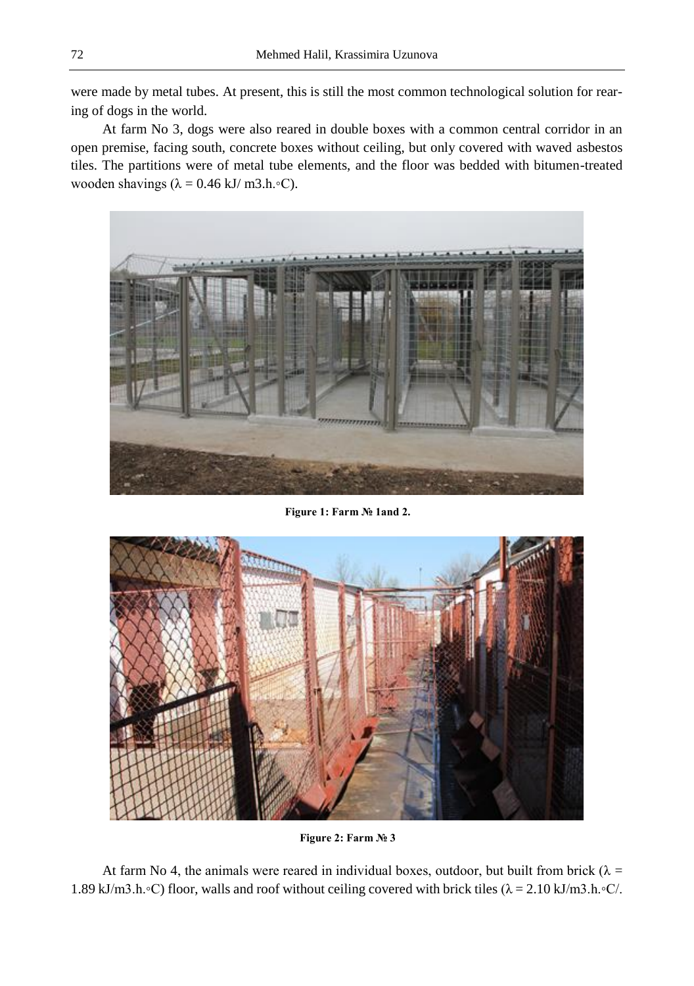were made by metal tubes. At present, this is still the most common technological solution for rearing of dogs in the world.

At farm No 3, dogs were also reared in double boxes with a common central corridor in an open premise, facing south, concrete boxes without ceiling, but only covered with waved asbestos tiles. The partitions were of metal tube elements, and the floor was bedded with bitumen-treated wooden shavings ( $\lambda = 0.46$  kJ/ m3.h.∘C).



**Figure 1: Farm № 1and 2.**



**Figure 2: Farm № 3**

At farm No 4, the animals were reared in individual boxes, outdoor, but built from brick ( $\lambda =$ 1.89 kJ/m3.h.◦C) floor, walls and roof without ceiling covered with brick tiles (λ = 2.10 kJ/m3.h.◦C/.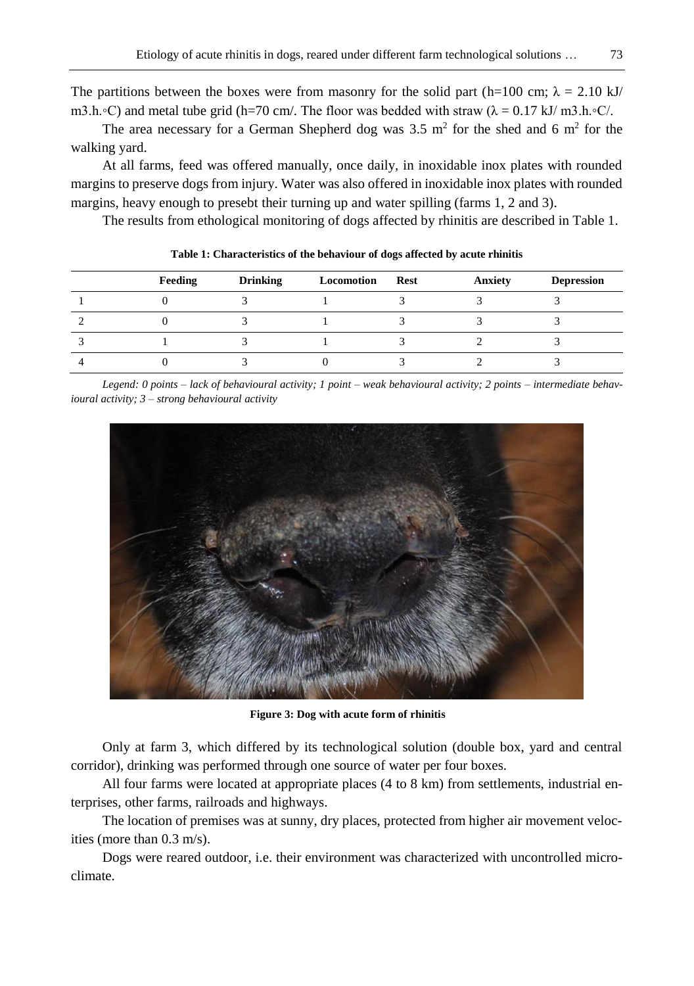The partitions between the boxes were from masonry for the solid part (h=100 cm;  $\lambda = 2.10 \text{ kJ/m}$ ) m3.h.∘C) and metal tube grid (h=70 cm/. The floor was bedded with straw ( $\lambda = 0.17$  kJ/ m3.h.∘C/.

The area necessary for a German Shepherd dog was  $3.5 \text{ m}^2$  for the shed and 6 m<sup>2</sup> for the walking yard.

At all farms, feed was offered manually, once daily, in inoxidable inox plates with rounded margins to preserve dogs from injury. Water was also offered in inoxidable inox plates with rounded margins, heavy enough to presebt their turning up and water spilling (farms 1, 2 and 3).

The results from ethological monitoring of dogs affected by rhinitis are described in Table 1.

| Feeding | <b>Drinking</b> | Locomotion | Rest | Anxiety | <b>Depression</b> |
|---------|-----------------|------------|------|---------|-------------------|
|         |                 |            |      |         |                   |
|         |                 |            |      |         |                   |
|         |                 |            |      |         |                   |
|         |                 |            |      |         |                   |

**Table 1: Characteristics of the behaviour of dogs affected by acute rhinitis**

*Legend: 0 points – lack of behavioural activity; 1 point – weak behavioural activity; 2 points – intermediate behavioural activity; 3 – strong behavioural activity*



**Figure 3: Dog with acute form of rhinitis**

Only at farm 3, which differed by its technological solution (double box, yard and central corridor), drinking was performed through one source of water per four boxes.

All four farms were located at appropriate places (4 to 8 km) from settlements, industrial enterprises, other farms, railroads and highways.

The location of premises was at sunny, dry places, protected from higher air movement velocities (more than 0.3 m/s).

Dogs were reared outdoor, i.e. their environment was characterized with uncontrolled microclimate.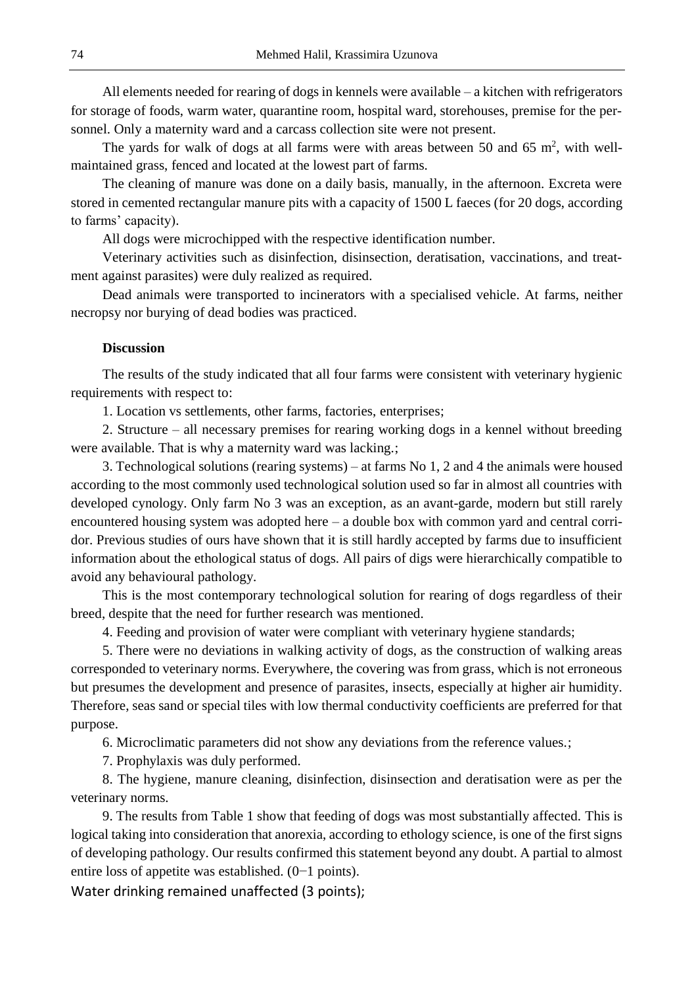All elements needed for rearing of dogs in kennels were available – a kitchen with refrigerators for storage of foods, warm water, quarantine room, hospital ward, storehouses, premise for the personnel. Only a maternity ward and a carcass collection site were not present.

The yards for walk of dogs at all farms were with areas between 50 and 65  $m^2$ , with wellmaintained grass, fenced and located at the lowest part of farms.

The cleaning of manure was done on a daily basis, manually, in the afternoon. Excreta were stored in cemented rectangular manure pits with a capacity of 1500 L faeces (for 20 dogs, according to farms' capacity).

All dogs were microchipped with the respective identification number.

Veterinary activities such as disinfection, disinsection, deratisation, vaccinations, and treatment against parasites) were duly realized as required.

Dead animals were transported to incinerators with a specialised vehicle. At farms, neither necropsy nor burying of dead bodies was practiced.

#### **Discussion**

The results of the study indicated that all four farms were consistent with veterinary hygienic requirements with respect to:

1. Location vs settlements, other farms, factories, enterprises;

2. Structure – all necessary premises for rearing working dogs in a kennel without breeding were available. That is why a maternity ward was lacking.;

3. Technological solutions (rearing systems) – at farms No 1, 2 and 4 the animals were housed according to the most commonly used technological solution used so far in almost all countries with developed cynology. Only farm No 3 was an exception, as an avant-garde, modern but still rarely encountered housing system was adopted here – a double box with common yard and central corridor. Previous studies of ours have shown that it is still hardly accepted by farms due to insufficient information about the ethological status of dogs. All pairs of digs were hierarchically compatible to avoid any behavioural pathology.

This is the most contemporary technological solution for rearing of dogs regardless of their breed, despite that the need for further research was mentioned.

4. Feeding and provision of water were compliant with veterinary hygiene standards;

5. There were no deviations in walking activity of dogs, as the construction of walking areas corresponded to veterinary norms. Everywhere, the covering was from grass, which is not erroneous but presumes the development and presence of parasites, insects, especially at higher air humidity. Therefore, seas sand or special tiles with low thermal conductivity coefficients are preferred for that purpose.

6. Microclimatic parameters did not show any deviations from the reference values.;

7. Prophylaxis was duly performed.

8. The hygiene, manure cleaning, disinfection, disinsection and deratisation were as per the veterinary norms.

9. The results from Table 1 show that feeding of dogs was most substantially affected. This is logical taking into consideration that anorexia, according to ethology science, is one of the first signs of developing pathology. Our results confirmed this statement beyond any doubt. A partial to almost entire loss of appetite was established. (0−1 points).

Water drinking remained unaffected (3 points);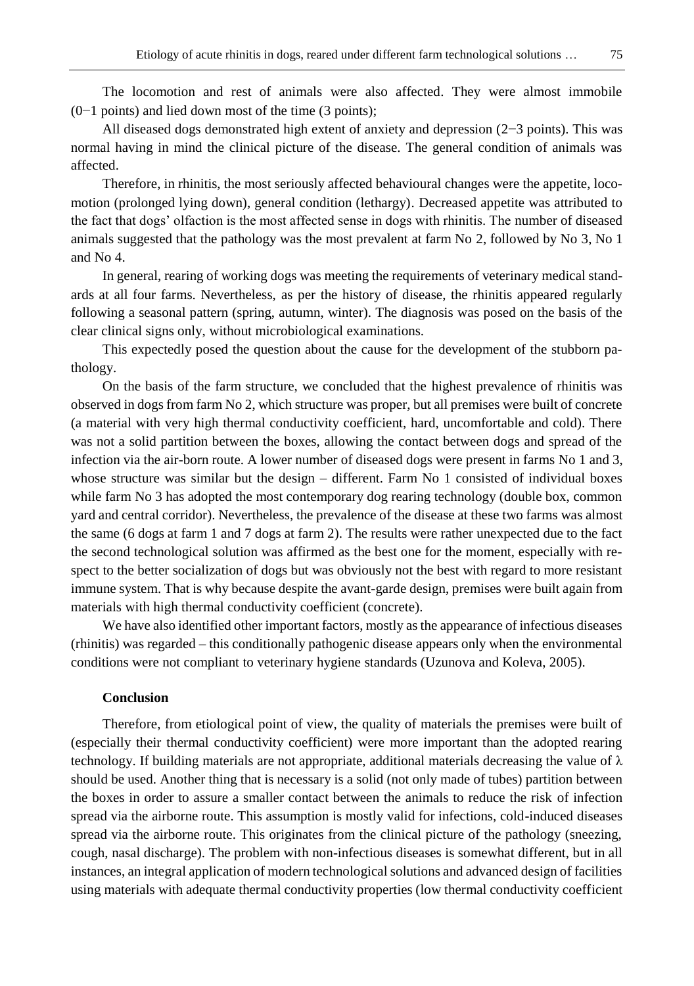The locomotion and rest of animals were also affected. They were almost immobile (0−1 points) and lied down most of the time (3 points);

All diseased dogs demonstrated high extent of anxiety and depression (2−3 points). This was normal having in mind the clinical picture of the disease. The general condition of animals was affected.

Therefore, in rhinitis, the most seriously affected behavioural changes were the appetite, locomotion (prolonged lying down), general condition (lethargy). Decreased appetite was attributed to the fact that dogs' olfaction is the most affected sense in dogs with rhinitis. The number of diseased animals suggested that the pathology was the most prevalent at farm No 2, followed by No 3, No 1 and No 4.

In general, rearing of working dogs was meeting the requirements of veterinary medical standards at all four farms. Nevertheless, as per the history of disease, the rhinitis appeared regularly following a seasonal pattern (spring, autumn, winter). The diagnosis was posed on the basis of the clear clinical signs only, without microbiological examinations.

This expectedly posed the question about the cause for the development of the stubborn pathology.

On the basis of the farm structure, we concluded that the highest prevalence of rhinitis was observed in dogs from farm No 2, which structure was proper, but all premises were built of concrete (a material with very high thermal conductivity coefficient, hard, uncomfortable and cold). There was not a solid partition between the boxes, allowing the contact between dogs and spread of the infection via the air-born route. A lower number of diseased dogs were present in farms No 1 and 3, whose structure was similar but the design – different. Farm No 1 consisted of individual boxes while farm No 3 has adopted the most contemporary dog rearing technology (double box, common yard and central corridor). Nevertheless, the prevalence of the disease at these two farms was almost the same (6 dogs at farm 1 and 7 dogs at farm 2). The results were rather unexpected due to the fact the second technological solution was affirmed as the best one for the moment, especially with respect to the better socialization of dogs but was obviously not the best with regard to more resistant immune system. That is why because despite the avant-garde design, premises were built again from materials with high thermal conductivity coefficient (concrete).

We have also identified other important factors, mostly as the appearance of infectious diseases (rhinitis) was regarded – this conditionally pathogenic disease appears only when the environmental conditions were not compliant to veterinary hygiene standards (Uzunova and Koleva, 2005).

# **Conclusion**

Therefore, from etiological point of view, the quality of materials the premises were built of (especially their thermal conductivity coefficient) were more important than the adopted rearing technology. If building materials are not appropriate, additional materials decreasing the value of  $\lambda$ should be used. Another thing that is necessary is a solid (not only made of tubes) partition between the boxes in order to assure a smaller contact between the animals to reduce the risk of infection spread via the airborne route. This assumption is mostly valid for infections, cold-induced diseases spread via the airborne route. This originates from the clinical picture of the pathology (sneezing, cough, nasal discharge). The problem with non-infectious diseases is somewhat different, but in all instances, an integral application of modern technological solutions and advanced design of facilities using materials with adequate thermal conductivity properties (low thermal conductivity coefficient